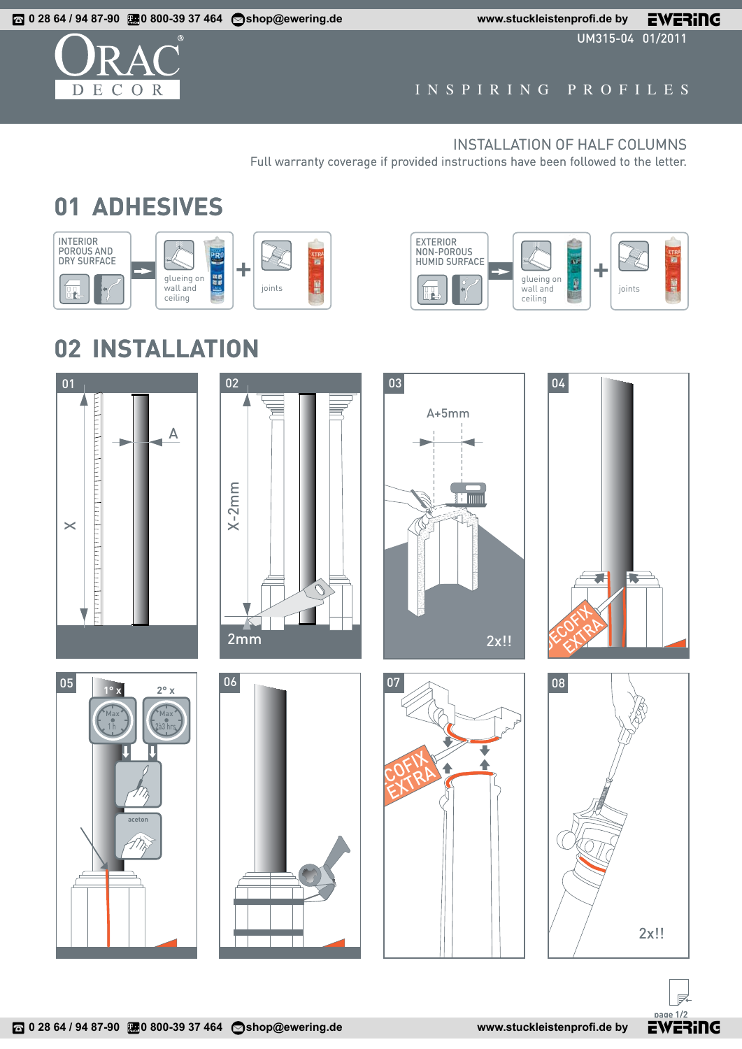UM315-04 01/2011



## INSPIRING PROFILES

## INSTALLATION OF HALF COLUMNS

Full warranty coverage if provided instructions have been followed to the letter.

## **01 ADHESIVES**





## **02 INSTALLATION**